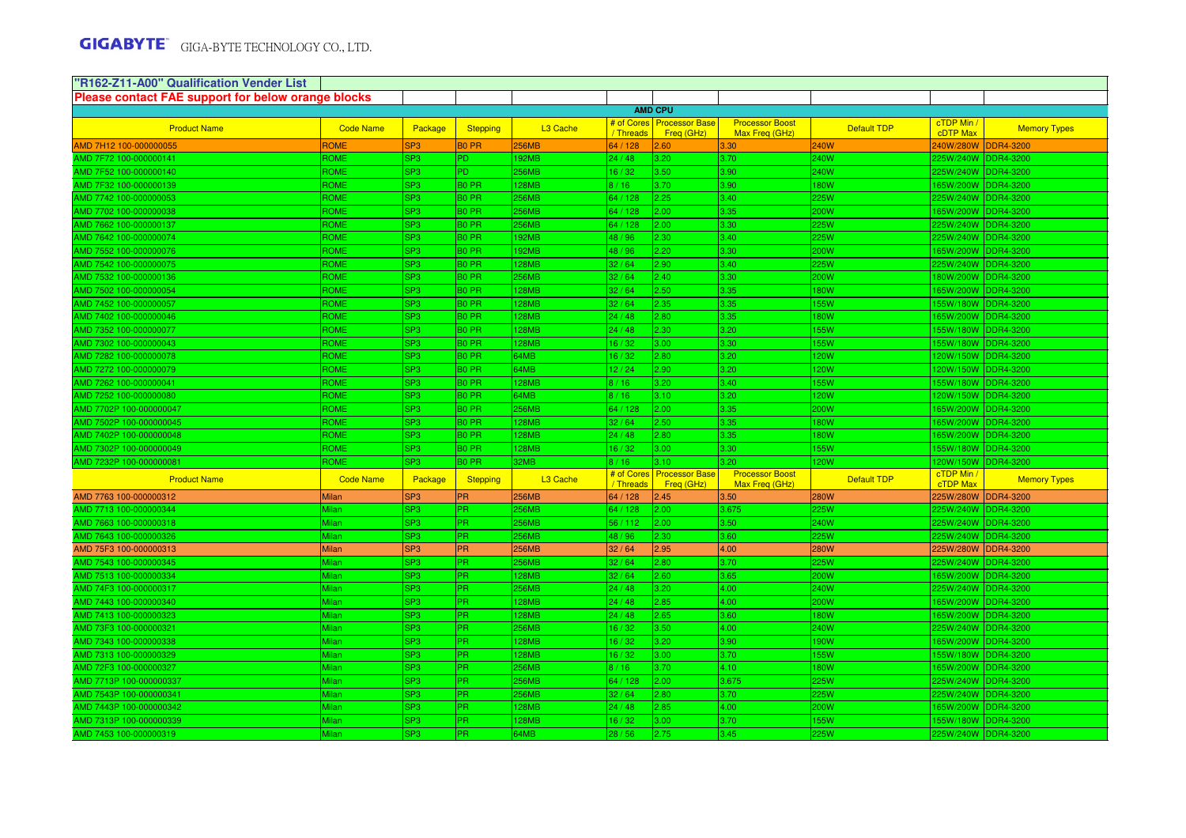| 'R162-Z11-A00" Qualification Vender List                  |                  |                 |                   |                      |                       |                                           |                                          |                    |                               |                     |
|-----------------------------------------------------------|------------------|-----------------|-------------------|----------------------|-----------------------|-------------------------------------------|------------------------------------------|--------------------|-------------------------------|---------------------|
| <b>Please contact FAE support for below orange blocks</b> |                  |                 |                   |                      |                       |                                           |                                          |                    |                               |                     |
|                                                           |                  |                 |                   |                      |                       | <b>AMD CPU</b>                            |                                          |                    |                               |                     |
| <b>Product Name</b>                                       | <b>Code Name</b> | Package         | <b>Stepping</b>   | L <sub>3</sub> Cache | / Threads             | # of Cores   Processor Base<br>Freq (GHz) | <b>Processor Boost</b><br>Max Freg (GHz) | <b>Default TDP</b> | cTDP Min /<br><b>cDTP Max</b> | <b>Memory Types</b> |
| MD 7H12 100-000000055                                     | <b>ROME</b>      | SP <sub>3</sub> | <b>BO PR</b>      | <b>256MB</b>         | 64 / 128              | 2.60                                      | 3.30                                     | 240W               | 240W/280W                     | <b>DDR4-3200</b>    |
| AMD 7F72 100-000000141                                    | ROME             | SP3             | PD.               | 92MB                 | 24/48                 | 3.20                                      | 3.70                                     | 240W               | 225W/240W DDR4-3200           |                     |
| AMD 7F52 100-000000140                                    | ROME             | SP3             | P <sub>D</sub>    | 256MB                | 6/32                  | 3.50                                      | 3.90                                     | 240W               | 225W/240W DDR4-3200           |                     |
| AMD 7F32 100-000000139                                    | ROME             | SP3             | B <sub>0</sub> PR | 28MB                 | 8/16                  | 3.70                                      | 3.90                                     | 180W               | 65W/200W DDR4-3200            |                     |
| MD 7742 100-000000053                                     | ROME             | SP3             | B <sub>0</sub> PR | <b>256MB</b>         | 34 / 128              | 2.25                                      | 3.40                                     | 25W                | 225W/240W DDR4-3200           |                     |
| MD 7702 100-000000038                                     | <b>ROME</b>      | SP3             | B <sub>0</sub> PR | <b>256MB</b>         | 64 / 128              | 2.00                                      | 3.35                                     | 200W               | 65W/200W DDR4-3200            |                     |
| MD 7662 100-000000137                                     | <b>ROME</b>      | SP3             | <b>BO PR</b>      | <b>256MB</b>         | 64 / 128              | 2.00                                      | 3.30                                     | 225W               | 225W/240W DDR4-3200           |                     |
| MD 7642 100-000000074                                     | ROME             | SP3             | <b>BO PR</b>      | 192MB                | 48 / 96               | 2.30                                      | 3.40                                     | 225W               | 225W/240W DDR4-3200           |                     |
| MD 7552 100-000000076                                     | <b>ROME</b>      | SP3             | B <sub>0</sub> PR | 192MB                | 48 / 96               | 2.20                                      | 3.30                                     | 200W               | 65W/200W DDR4-3200            |                     |
| MD 7542 100-000000075                                     | <b>ROME</b>      | SP3             | B <sub>0</sub> PR | 128MB                | 32/64                 | 2.90                                      | 3.40                                     | 225W               | 225W/240W DDR4-3200           |                     |
| MD 7532 100-000000136                                     | ROME             | SP3             | B <sub>0</sub> PR | 256MB                | 32/64                 | 2.40                                      | 3.30                                     | 200W               | 180W/200W DDR4-3200           |                     |
| MD 7502 100-000000054                                     | <b>ROME</b>      | SP3             | B <sub>0</sub> PR | 128MB                | 32/64                 | 2.50                                      | 3.35                                     | 180W               | 65W/200W DDR4-3200            |                     |
| MD 7452 100-000000057                                     | ROME             | SP <sub>3</sub> | <b>BO PR</b>      | 128MB                | 32/64                 | 2.35                                      | 3.35                                     | 155W               | 155W/180W DDR4-3200           |                     |
| MD 7402 100-000000046                                     | ROME             | SP <sub>3</sub> | <b>BO PR</b>      | 128MB                | 24 / 48               | 2.80                                      | 3.35                                     | 180W               | 165W/200W DDR4-3200           |                     |
| MD 7352 100-000000077                                     | ROME             | SP <sub>3</sub> | B <sub>0</sub> PR | <b>128MB</b>         | 24 / 48               | 2.30                                      | 3.20                                     | 155W               | 155W/180W DDR4-3200           |                     |
| MD 7302 100-000000043                                     | ROME             | SP3             | B <sub>0</sub> PR | 128MB                | 16/32                 | 3.00                                      | 3.30                                     | 155W               | 155W/180W DDR4-3200           |                     |
| MD 7282 100-000000078                                     | ROME             | SP3             | <b>BO PR</b>      | 64MB                 | 16/32                 | 2.80                                      | 3.20                                     | 120W               | 120W/150W DDR4-3200           |                     |
| MD 7272 100-000000079                                     | ROME             | SP3             | B <sub>0</sub> PR | 64MB                 | 12/24                 | 2.90                                      | 3.20                                     | 120W               | 120W/150W DDR4-3200           |                     |
| MD 7262 100-000000041                                     | <b>ROME</b>      | SP3             | B <sub>0</sub> PR | 128MB                | 8/16                  | 3.20                                      | 3.40                                     | 155W               | 155W/180W DDR4-3200           |                     |
| MD 7252 100-000000080                                     | <b>ROME</b>      | SP3             | <b>BO PR</b>      | 64MB                 | 8/16                  | 3.10                                      | 3.20                                     | 120W               | 120W/150W DDR4-3200           |                     |
| AMD 7702P 100-000000047                                   | ROME             | SP3             | B <sub>0</sub> PR | 256MB                | 64 / 128              | 2.00                                      | 3.35                                     | 200W               | 65W/200W DDR4-3200            |                     |
| MD 7502P 100-000000045                                    | ROME             | SP3             | B0 PR             | 28MB                 | 32/64                 | 2.50                                      | 3.35                                     | 180W               | 65W/200W DDR4-3200            |                     |
| MD 7402P 100-000000048                                    | ROME             | SP3             | B <sub>0</sub> PR | 128MB                | 24/48                 | 2.80                                      | 3.35                                     | 180W               | 65W/200W DDR4-3200            |                     |
| MD 7302P 100-000000049                                    | ROME             | SP3             | B0 PR             | 128MB                | 6/32                  | 3.00                                      | 3.30                                     | 155W               | 155W/180W DDR4-3200           |                     |
| MD 7232P 100-000000081                                    | ROME             | SP3             | B0 PR             | 32MB                 | 8/16                  | 3.10                                      | 3.20                                     | 120W               | 20W/150W DDR4-3200            |                     |
| <b>Product Name</b>                                       | <b>Code Name</b> | Package         | <b>Stepping</b>   | L <sub>3</sub> Cache | # of Cores<br>Threads | <b>Processor Base</b><br>Freq (GHz)       | <b>Processor Boost</b><br>Max Freq (GHz) | <b>Default TDP</b> | cTDP Min<br>cTDP Max          | <b>Memory Types</b> |
| AMD 7763 100-000000312                                    | <b>Milan</b>     | SP <sub>3</sub> | <b>PR</b>         | <b>256MB</b>         | 64 / 128              | 2.45                                      | 3.50                                     | <b>280W</b>        | 225W/280W                     | <b>DDR4-3200</b>    |
| AMD 7713 100-000000344                                    | <i>Ailan</i>     | SP3             | PR.               | 256MB                | 64 / 128              | 2.00                                      | 3.675                                    | 225W               | 225W/240W DDR4-3200           |                     |
| AMD 7663 100-000000318                                    | <b>Milan</b>     | SP3             | PR.               | 256MB                | 56 / 112              | 2.00                                      | 3.50                                     | 240W               | 225W/240W DDR4-3200           |                     |
| AMD 7643 100-000000326                                    | <b>Milan</b>     | SP <sub>3</sub> | <b>PR</b>         | 256MB                | 48 / 96               | 2.30                                      | 3.60                                     | 225W               | 225W/240W DDR4-3200           |                     |
| AMD 75F3 100-000000313                                    | <b>Milan</b>     | SP <sub>3</sub> | PR                | 256MB                | 32/64                 | 2.95                                      | 4.00                                     | <b>280W</b>        | 225W/280W                     | <b>DDR4-3200</b>    |
| AMD 7543 100-000000345                                    | <b>Ailan</b>     | SP3             | <b>PR</b>         | 256MB                | 32/64                 | 2.80                                      | 3.70                                     | 225W               | 225W/240W                     | <b>DDR4-3200</b>    |
| AMD 7513 100-000000334                                    | <b>Milan</b>     | SP <sub>3</sub> | <b>PR</b>         | <b>28MB</b>          | 32/64                 | 2.60                                      | 3.65                                     | 200W               | 65W/200W DDR4-3200            |                     |
| AMD 74F3 100-000000317                                    | <i>Ailan</i>     | SP <sub>3</sub> | PR.               | <b>256MB</b>         | 24 / 48               | 3.20                                      | 4.00                                     | 240W               | 225W/240W DDR4-3200           |                     |
| AMD 7443 100-000000340                                    | <b>Ailan</b>     | SP <sub>3</sub> | PR.               | 128MB                | 24 / 48               | 2.85                                      | 4.00                                     | 200W               | 165W/200W DDR4-3200           |                     |
| AMD 7413 100-000000323                                    | <i>Ailan</i>     | SP3             | PR.               | 128MB                | 24/48                 | 2.65                                      | 3.60                                     | 180W               | 165W/200W DDR4-3200           |                     |
| AMD 73F3 100-000000321                                    | lilan            | SP3             | PR.               | 256MB                | 16/32                 | 3.50                                      | 4.00                                     | 240W               | 225W/240W DDR4-3200           |                     |
| AMD 7343 100-000000338                                    | <i>A</i> ilan    | SP3             | <b>PR</b>         | 128MB                | 16/32                 | 3.20                                      | 3.90                                     | 190W               | 65W/200W DDR4-3200            |                     |
| AMD 7313 100-000000329                                    | Milan            | SP3             | PR.               | 128MB                | 16/32                 | 3.00                                      | 3.70                                     | 155W               | 155W/180W DDR4-3200           |                     |
| AMD 72F3 100-000000327                                    | Milan            | SP3             | <b>PR</b>         | 256MB                | 8/16                  | 3.70                                      | 4.10                                     | 180W               | 65W/200W DDR4-3200            |                     |
| AMD 7713P 100-000000337                                   | <i>l</i> ilan    | SP3             | <b>PR</b>         | 256MB                | 64 / 128              | 2.00                                      | 3.675                                    | 225W               | 225W/240W DDR4-3200           |                     |
| AMD 7543P 100-000000341                                   | Ailan            | SP3             | <b>PR</b>         | 256MB                | 32/64                 | 2.80                                      | 3.70                                     | 225W               | 225W/240W DDR4-3200           |                     |
| AMD 7443P 100-000000342                                   |                  |                 |                   |                      |                       |                                           | 4.00                                     | 200W               |                               | 65W/200W DDR4-3200  |
|                                                           | lilan            | SP3             | PR.               | <b>28MB</b>          | 24/48                 | 2.85                                      |                                          |                    |                               |                     |
| AMD 7313P 100-000000339                                   | Ailan            | SP3             | <b>PR</b>         | <b>28MB</b>          | 6/32                  | 3.00                                      | 3.70                                     | <b>155W</b>        | 155W/180W DDR4-3200           |                     |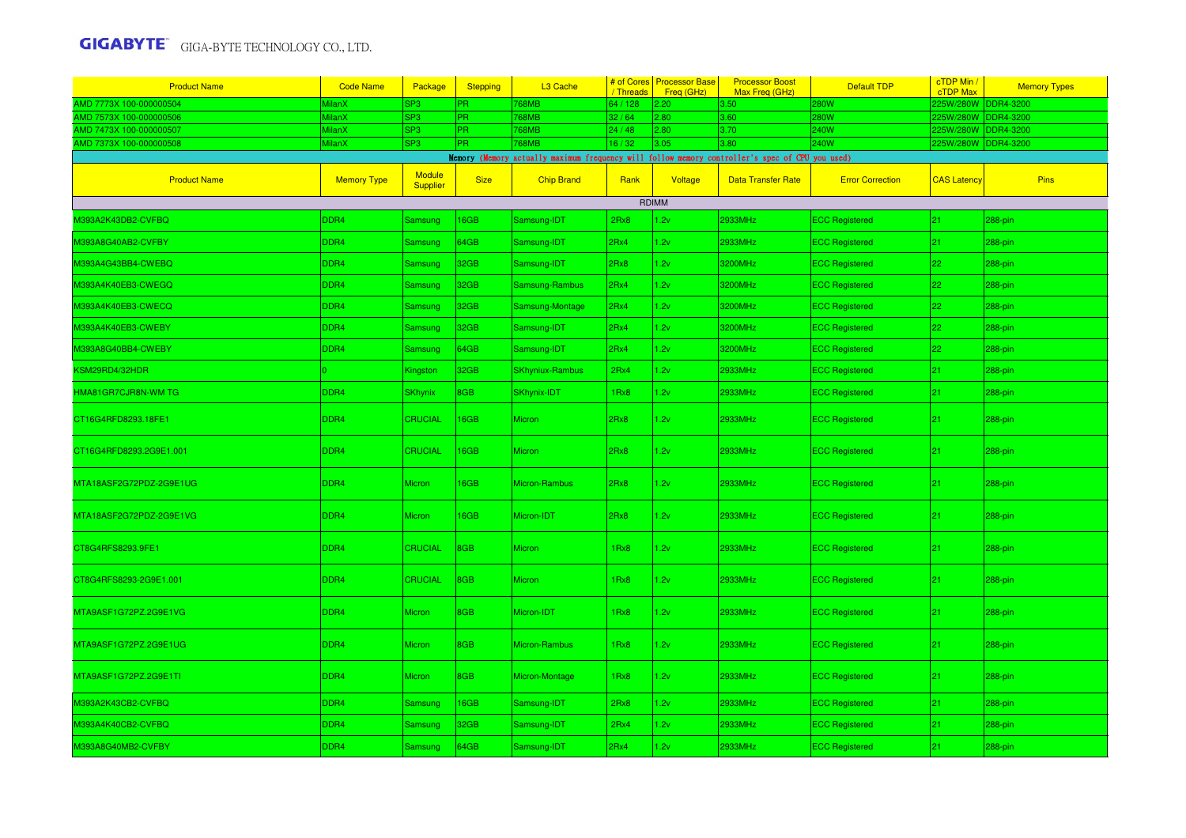| <b>Product Name</b>     | <b>Code Name</b>   | Package                   | <b>Stepping</b> | L3 Cache                                                                                        | # of Cores<br>/ Threads | <b>Processor Base</b><br>Freq (GHz) | <b>Processor Boost</b><br>Max Freq (GHz) | <b>Default TDP</b>      | cTDP Min /<br><b>cTDP Max</b> | <b>Memory Types</b> |
|-------------------------|--------------------|---------------------------|-----------------|-------------------------------------------------------------------------------------------------|-------------------------|-------------------------------------|------------------------------------------|-------------------------|-------------------------------|---------------------|
| MD 7773X 100-000000504  | MilanX             | SP <sub>3</sub>           | <b>PR</b>       | 768MB                                                                                           | 64 / 128                | 2.20                                | 3.50                                     | <b>280W</b>             | 225W/280W DDR4-3200           |                     |
| MD 7573X 100-000000506  | MilanX             | SP <sub>3</sub>           | PR.             | 68MB                                                                                            | 32/64                   | 2.80                                | 3.60                                     | <b>280W</b>             | 225W/280W DDR4-3200           |                     |
| MD 7473X 100-000000507  | MilanX             | SP <sub>3</sub>           | PR.             | <b>68MB</b>                                                                                     | 24/48                   | 2.80                                | 3.70                                     | <b>240W</b>             | 225W/280W DDR4-3200           |                     |
| MD 7373X 100-000000508  | MilanX             | SP <sub>3</sub>           | <b>PR</b>       | 768MB                                                                                           | 16 / 32                 | 3.05                                | 3.80                                     | <b>240W</b>             | 225W/280W DDR4-3200           |                     |
|                         |                    |                           |                 | Memory (Memory actually maximum frequency will follow memory controller's spec of CPU you used) |                         |                                     |                                          |                         |                               |                     |
| <b>Product Name</b>     | <b>Memory Type</b> | Module<br><b>Supplier</b> | <b>Size</b>     | <b>Chip Brand</b>                                                                               | Rank                    | Voltage                             | <b>Data Transfer Rate</b>                | <b>Error Correction</b> | <b>CAS Latency</b>            | <b>Pins</b>         |
|                         |                    |                           |                 |                                                                                                 |                         | RDIMM                               |                                          |                         |                               |                     |
| 4393A2K43DB2-CVFBQ      | DDR <sub>4</sub>   | Samsung                   | 6GB             | Samsung-IDT                                                                                     | 2Rx8                    | 1.2v                                | 2933MHz                                  | <b>ECC Registered</b>   | 21                            | 288-pin             |
| M393A8G40AB2-CVFBY      | <b>DDR4</b>        | Samsung                   | 64GB            | Samsung-IDT                                                                                     | 2Rx4                    | 1.2v                                | 2933MHz                                  | <b>ECC Registered</b>   | $ 21\rangle$                  | 288-pin             |
| M393A4G43BB4-CWEBQ      | DDR4               | <b>Samsung</b>            | 32GB            | Samsung-IDT                                                                                     | 2Rx8                    | 1.2v                                | 3200MHz                                  | <b>ECC Registered</b>   | 22                            | 288-pin             |
| M393A4K40EB3-CWEGQ      | DDR4               | <b>Samsung</b>            | 32GB            | Samsung-Rambus                                                                                  | 2Rx4                    | 1.2v                                | 3200MHz                                  | <b>ECC Registered</b>   | 22                            | 288-pin             |
| M393A4K40EB3-CWECQ      | DDR4               | Samsung                   | 32GB            | Samsung-Montage                                                                                 | 2Rx4                    | 1.2v                                | 3200MHz                                  | <b>ECC Registered</b>   | 22                            | 288-pin             |
| M393A4K40EB3-CWEBY      | DDR4               | Samsung                   | 32GB            | Samsung-IDT                                                                                     | 2Rx4                    | 1.2v                                | 3200MHz                                  | <b>ECC Registered</b>   | 22                            | 288-pin             |
| M393A8G40BB4-CWEBY      | <b>DDR4</b>        | Samsung                   | 64GB            | Samsung-IDT                                                                                     | 2Rx4                    | 1.2v                                | 3200MHz                                  | <b>ECC Registered</b>   | 22                            | 288-pin             |
| KSM29RD4/32HDR          |                    | Kingston                  | 32GB            | <b>SKhyniux-Rambus</b>                                                                          | 2Rx4                    | 1.2v                                | 2933MHz                                  | <b>ECC Registered</b>   | $ 21\rangle$                  | 288-pin             |
| HMA81GR7CJR8N-WM TG     | <b>DDR4</b>        | <b>SKhynix</b>            | 8GB             | <b>SKhynix-IDT</b>                                                                              | 1Rx8                    | 1.2v                                | 2933MHz                                  | <b>ECC Registered</b>   | 21                            | 288-pin             |
| CT16G4RFD8293.18FE1     | DDR4               | <b>CRUCIAL</b>            | 16GB            | <b>Micron</b>                                                                                   | 2Rx8                    | 1.2v                                | 2933MHz                                  | <b>ECC Registered</b>   | $ 21\rangle$                  | 288-pin             |
| CT16G4RFD8293.2G9E1.001 | DDR4               | <b>CRUCIAL</b>            | 16GB            | <b>Micron</b>                                                                                   | 2Rx8                    | 1.2v                                | 2933MHz                                  | <b>ECC Registered</b>   | $ 21\rangle$                  | 288-pin             |
| MTA18ASF2G72PDZ-2G9E1UG | DDR4               | <b>Micron</b>             | 16GB            | Micron-Rambus                                                                                   | 2Rx8                    | 1.2v                                | 2933MHz                                  | <b>ECC Registered</b>   | 21                            | 288-pin             |
| MTA18ASF2G72PDZ-2G9E1VG | DDR4               | Micron                    | 16GB            | Micron-IDT                                                                                      | 2Rx8                    | 1.2v                                | 2933MHz                                  | <b>ECC Registered</b>   | $ 21\rangle$                  | 288-pin             |
| CT8G4RFS8293.9FE1       | DDR4               | <b>CRUCIAL</b>            | 8GB             | Micron                                                                                          | 1Rx8                    | 1.2v                                | 2933MHz                                  | <b>ECC Registered</b>   | 21                            | 288-pin             |
| CT8G4RFS8293-2G9E1.001  | DDR4               | <b>CRUCIAL</b>            | 8GB             | <b>Micron</b>                                                                                   | 1Rx8                    | 1.2v                                | 2933MHz                                  | <b>ECC Registered</b>   | $ 21\rangle$                  | 288-pin             |
| MTA9ASF1G72PZ.2G9E1VG   | DDR4               | <b>Micron</b>             | 8GB             | Micron-IDT                                                                                      | 1Rx8                    | 1.2v                                | 2933MHz                                  | <b>ECC Registered</b>   | $ 21\rangle$                  | 288-pin             |
| MTA9ASF1G72PZ.2G9E1UG   | DDR4               | <b>Micron</b>             | 8GB             | Micron-Rambus                                                                                   | 1Rx8                    | 1.2v                                | 2933MHz                                  | <b>ECC Registered</b>   | 21                            | 288-pin             |
| MTA9ASF1G72PZ.2G9E1TI   | DDR4               | <b>Micron</b>             | 8GB             | Micron-Montage                                                                                  | 1Rx8                    | 1.2v                                | 2933MHz                                  | <b>ECC Registered</b>   | $ 21\rangle$                  | 288-pin             |
| M393A2K43CB2-CVFBQ      | <b>DDR4</b>        | <b>Samsung</b>            | 16GB            | Samsung-IDT                                                                                     | 2Rx8                    | 1.2v                                | 2933MHz                                  | <b>ECC Registered</b>   | 21                            | 288-pin             |
| M393A4K40CB2-CVFBQ      | <b>DDR4</b>        | Samsung                   | 32GB            | Samsung-IDT                                                                                     | 2Rx4                    | 1.2v                                | 2933MHz                                  | <b>ECC Registered</b>   | 21                            | 288-pin             |
| M393A8G40MB2-CVFBY      | <b>DDR4</b>        | <b>Samsung</b>            | 64GB            | Samsung-IDT                                                                                     | 2Rx4                    | 1.2v                                | 2933MHz                                  | <b>ECC Registered</b>   | 21                            | 288-pin             |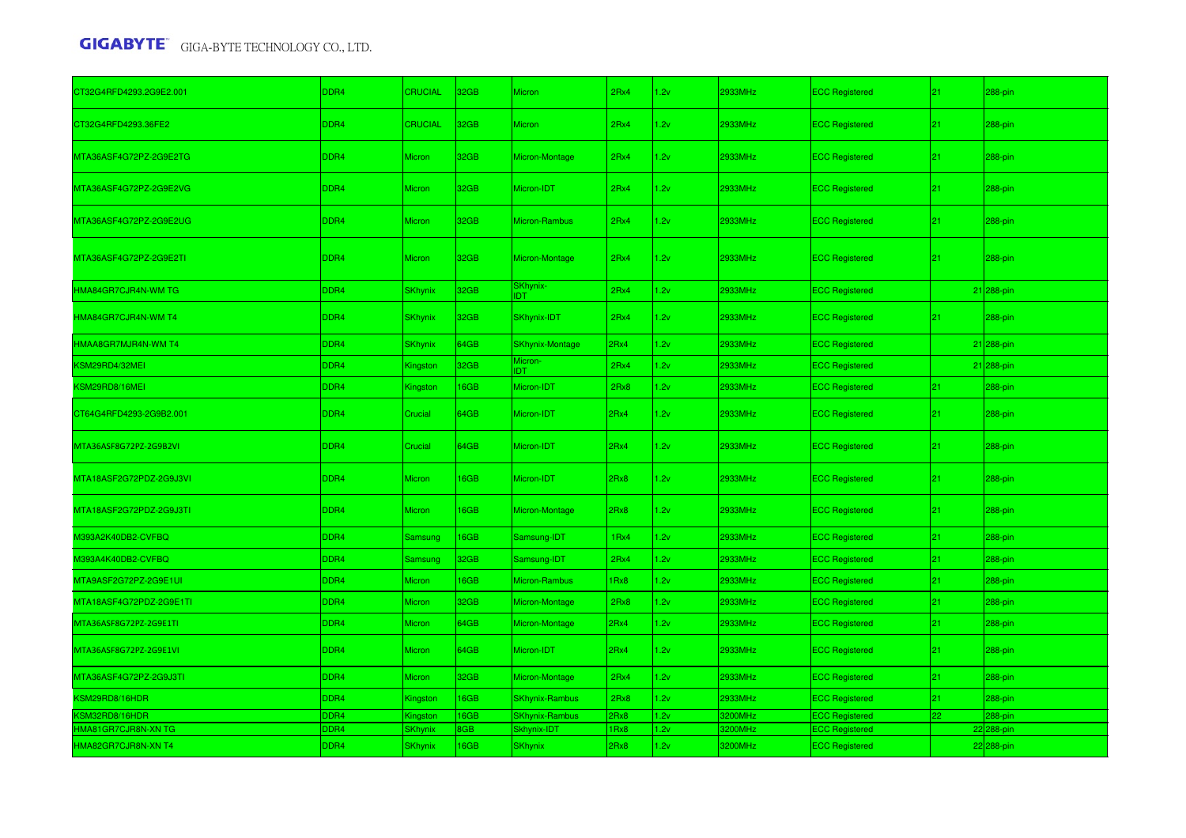| CT32G4RFD4293.2G9E2.001 | DDR4             | <b>CRUCIAL</b> | 32GB | Micron                 | 2Rx4 | 1.2v | 2933MHz | <b>ECC Registered</b> | 21 | 288-pin    |
|-------------------------|------------------|----------------|------|------------------------|------|------|---------|-----------------------|----|------------|
| CT32G4RFD4293.36FE2     | DDR4             | <b>CRUCIAL</b> | 32GB | <b>Micron</b>          | 2Rx4 | 1.2v | 2933MHz | <b>ECC Registered</b> | 21 | 288-pin    |
| MTA36ASF4G72PZ-2G9E2TG  | DDR4             | <b>Micron</b>  | 32GB | Micron-Montage         | 2Rx4 | 1.2v | 2933MHz | <b>ECC Registered</b> | 21 | 288-pin    |
| MTA36ASF4G72PZ-2G9E2VG  | DDR4             | Micron         | 32GB | Micron-IDT             | 2Rx4 | 1.2v | 2933MHz | <b>ECC Registered</b> | 21 | 288-pin    |
| MTA36ASF4G72PZ-2G9E2UG  | DDR4             | <b>Micron</b>  | 32GB | Micron-Rambus          | 2Rx4 | 1.2v | 2933MHz | <b>ECC Registered</b> | 21 | 288-pin    |
| MTA36ASF4G72PZ-2G9E2TI  | DDR4             | <b>Micron</b>  | 32GB | Micron-Montage         | 2Rx4 | 1.2v | 2933MHz | <b>ECC Registered</b> | 21 | 288-pin    |
| HMA84GR7CJR4N-WM TG     | <b>DDR4</b>      | <b>SKhynix</b> | 32GB | SKhynix-<br><b>IDT</b> | 2Rx4 | 1.2v | 2933MHz | <b>ECC Registered</b> |    | 21 288-pin |
| HMA84GR7CJR4N-WM T4     | <b>DDR4</b>      | <b>SKhynix</b> | 32GB | SKhynix-IDT            | 2Rx4 | 1.2v | 2933MHz | <b>ECC Registered</b> | 21 | 288-pin    |
| HMAA8GR7MJR4N-WM T4     | DDR4             | <b>SKhynix</b> | 64GB | <b>SKhynix-Montage</b> | 2Rx4 | 1.2v | 2933MHz | <b>ECC Registered</b> |    | 21 288-pin |
| KSM29RD4/32MEI          | <b>DDR4</b>      | Kingston       | 32GB | Micron-<br><b>IDT</b>  | 2Rx4 | 1.2v | 2933MHz | <b>ECC Registered</b> |    | 21 288-pin |
| KSM29RD8/16MEI          | DR <sub>4</sub>  | Kingston       | 16GB | Micron-IDT             | 2Rx8 | 1.2v | 2933MHz | <b>ECC Registered</b> | 21 | $288$ -pin |
| CT64G4RFD4293-2G9B2.001 | DDR4             | Crucial        | 64GB | Micron-IDT             | 2Rx4 | 1.2v | 2933MHz | <b>ECC Registered</b> | 21 | 288-pin    |
| MTA36ASF8G72PZ-2G9B2VI  | DDR4             | Crucial        | 64GB | Micron-IDT             | 2Rx4 | 1.2v | 2933MHz | <b>ECC Registered</b> | 21 | 288-pin    |
| MTA18ASF2G72PDZ-2G9J3VI | DDR4             | Micron         | 16GB | Micron-IDT             | 2Rx8 | 1.2v | 2933MHz | <b>ECC Registered</b> | 21 | 288-pin    |
| MTA18ASF2G72PDZ-2G9J3TI | DDR4             | <b>Micron</b>  | 16GB | Micron-Montage         | 2Rx8 | 1.2v | 2933MHz | <b>ECC Registered</b> | 21 | 288-pin    |
| M393A2K40DB2-CVFBQ      | DDR4             | Samsung        | 16GB | Samsung-IDT            | 1Rx4 | 1.2v | 2933MHz | <b>ECC Registered</b> | 21 | 288-pin    |
| M393A4K40DB2-CVFBQ      | DDR4             | Samsung        | 32GB | Samsung-IDT            | 2Rx4 | 1.2v | 2933MHz | <b>ECC Registered</b> | 21 | 288-pin    |
| MTA9ASF2G72PZ-2G9E1UI   | DDR4             | Micron         | 16GB | Micron-Rambus          | 1Rx8 | 1.2v | 2933MHz | <b>ECC Registered</b> | 21 | 288-pin    |
| MTA18ASF4G72PDZ-2G9E1TI | DDR4             | Micron         | 32GB | Micron-Montage         | 2Rx8 | 1.2v | 2933MHz | <b>ECC Registered</b> | 21 | 288-pin    |
| MTA36ASF8G72PZ-2G9E1TI  | DDR <sub>4</sub> | Micron         | 64GB | Micron-Montage         | 2Rx4 | 1.2v | 2933MHz | <b>ECC Registered</b> | 21 | 288-pin    |
| MTA36ASF8G72PZ-2G9E1VI  | DDR4             | Micron         | 64GB | Micron-IDT             | 2Rx4 | 1.2v | 2933MHz | <b>ECC Registered</b> | 21 | 288-pin    |
| MTA36ASF4G72PZ-2G9J3TI  | DDR4             | Micron         | 32GB | Micron-Montage         | 2Rx4 | 1.2v | 2933MHz | <b>ECC Registered</b> | 21 | 288-pin    |
| KSM29RD8/16HDR          | DR <sub>4</sub>  | Kingston       | 16GB | <b>SKhynix-Rambus</b>  | 2Rx8 | 1.2v | 2933MHz | <b>ECC Registered</b> | 21 | 288-pin    |
| KSM32RD8/16HDR          | DR <sub>4</sub>  | Kingston       | 16GB | <b>SKhynix-Rambus</b>  | 2Rx8 | 1.2v | 3200MHz | <b>ECC Registered</b> | 22 | 288-pin    |
| HMA81GR7CJR8N-XN TG     | DR <sub>4</sub>  | SKhynix        | 8GB  | Skhynix-IDT            | IRx8 | 1.2v | 3200MHz | <b>ECC Registered</b> |    | 22 288-pin |
| HMA82GR7CJR8N-XN T4     | DDR4             | <b>SKhynix</b> | 16GB | <b>SKhynix</b>         | 2Rx8 | 1.2v | 3200MHz | <b>ECC Registered</b> |    | 22 288-pin |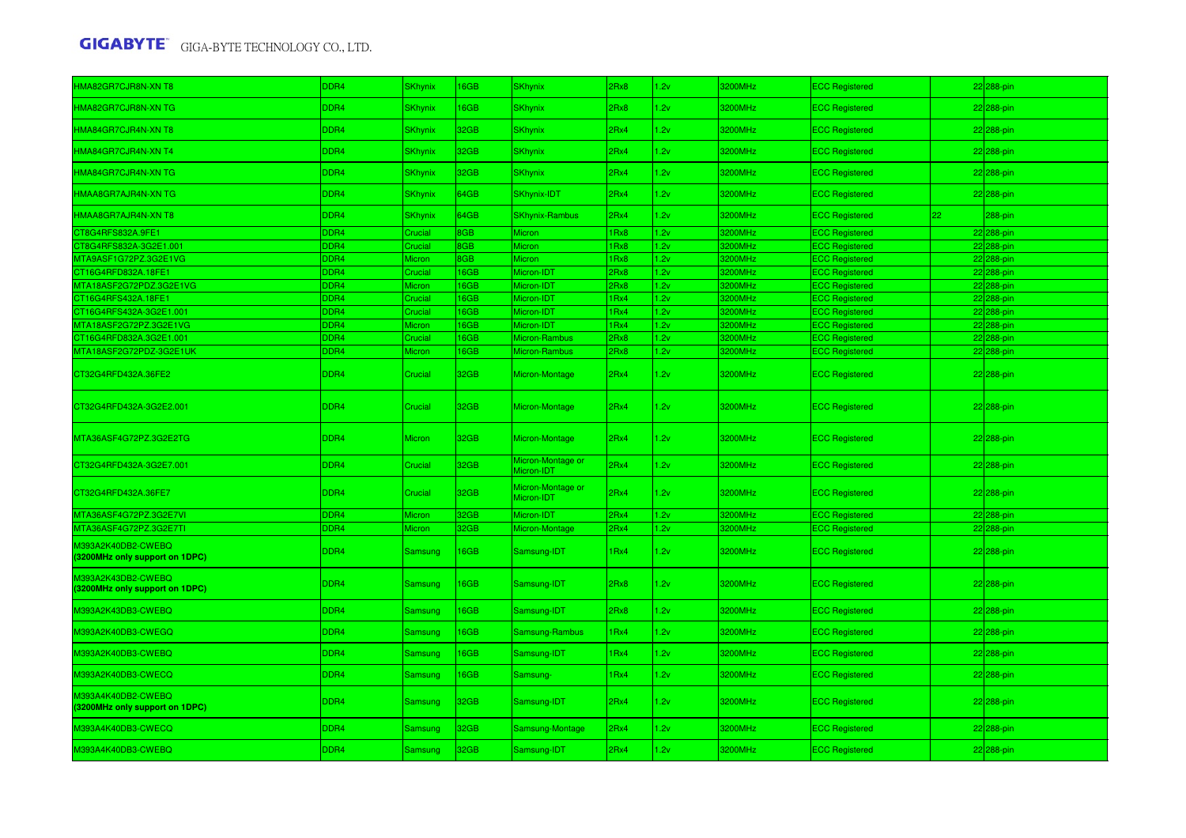| HMA82GR7CJR8N-XN T8                                  | DDR4             | <b>SKhynix</b> | 16GB | <b>SKhynix</b>                  | 2Rx8             | 1.2v | 3200MHz | <b>ECC Registered</b> |    | 22 288-pin |
|------------------------------------------------------|------------------|----------------|------|---------------------------------|------------------|------|---------|-----------------------|----|------------|
| HMA82GR7CJR8N-XN TG                                  | <b>DDR4</b>      | <b>SKhynix</b> | 16GB | <b>SKhynix</b>                  | 2Rx8             | 1.2v | 3200MHz | <b>ECC Registered</b> |    | 22 288-pin |
| HMA84GR7CJR4N-XN T8                                  | DDR4             | <b>SKhynix</b> | 32GB | <b>SKhynix</b>                  | 2Rx4             | 1.2v | 3200MHz | <b>ECC Registered</b> |    | 22 288-pin |
| HMA84GR7CJR4N-XN T4                                  | DDR4             | <b>SKhynix</b> | 32GB | <b>SKhynix</b>                  | 2Rx4             | 1.2v | 3200MHz | <b>ECC Registered</b> |    | 22 288-pin |
| HMA84GR7CJR4N-XN TG                                  | DDR4             | <b>SKhynix</b> | 32GB | <b>SKhynix</b>                  | 2Rx4             | 1.2v | 3200MHz | <b>ECC Registered</b> |    | 222288-pin |
| HMAA8GR7AJR4N-XN TG                                  | DDR4             | <b>SKhynix</b> | 64GB | SKhynix-IDT                     | 2Rx4             | 1.2v | 3200MHz | <b>ECC Registered</b> |    | 22 288-pin |
| HMAA8GR7AJR4N-XN T8                                  | DDR4             | SKhynix        | 64GB | <b>SKhynix-Rambus</b>           | 2Rx4             | 1.2v | 3200MHz | <b>ECC Registered</b> | 22 | 288-pin    |
| CT8G4RFS832A.9FE1                                    | DDR4             | Crucial        | 8GB  | <b>Micron</b>                   | 1Rx8             | 1.2v | 3200MHz | <b>ECC Registered</b> |    | 22 288-pin |
| CT8G4RFS832A-3G2E1.001                               | DDR4             | Crucial        | 8GB  | Micron                          | 1Rx8             | 1.2v | 3200MHz | <b>ECC Registered</b> |    | 22 288-pin |
| MTA9ASF1G72PZ.3G2E1VG                                | DDR4             | Micron         | 8GB  | <b>Micron</b>                   | 1 <sub>Rx8</sub> | 1.2v | 3200MHz | <b>ECC Registered</b> |    | 22 288-pin |
| CT16G4RFD832A.18FE1                                  | DDR4             | Crucial        | 16GB | Micron-IDT                      | 2Rx8             | 1.2v | 3200MHz | <b>ECC Registered</b> |    | 22 288-pin |
| MTA18ASF2G72PDZ.3G2E1VG                              | DDR4             | Micron         | 16GB | Micron-IDT                      | 2Rx8             | 1.2v | 3200MHz | <b>ECC Registered</b> |    | 22 288-pin |
| CT16G4RFS432A.18FE1                                  | DDR <sub>4</sub> | Crucial        | 16GB | Micron-IDT                      | 1Rx4             | 1.2v | 3200MHz | <b>ECC Registered</b> |    | 22 288-pin |
| CT16G4RFS432A-3G2E1.001                              | DDR4             | Crucial        | 16GB | Micron-IDT                      | 1Rx4             | 1.2v | 3200MHz | <b>ECC Registered</b> |    | 22 288-pin |
| MTA18ASF2G72PZ.3G2E1VG                               | DDR4             | Micron         | 16GB | Micron-IDT                      | 1Rx4             | 1.2v | 3200MHz | <b>ECC Registered</b> |    | 22 288-pin |
| CT16G4RFD832A.3G2E1.001                              | DDR4             | Crucial        | 16GB | Micron-Rambus                   | 2Rx8             | 1.2v | 3200MHz | <b>ECC Registered</b> |    | 22 288-pin |
| MTA18ASF2G72PDZ-3G2E1UK                              | <b>DDR4</b>      | Micron         | 16GB | Micron-Rambus                   | 2Rx8             | 1.2v | 3200MHz | <b>ECC Registered</b> |    | 22 288-pin |
| CT32G4RFD432A.36FE2                                  | DDR4             | Crucial        | 32GB | Micron-Montage                  | 2Rx4             | 1.2v | 3200MHz | <b>ECC Registered</b> |    | 22 288-pin |
| CT32G4RFD432A-3G2E2.001                              | DDR4             | Crucial        | 32GB | Micron-Montage                  | 2Rx4             | 1.2v | 3200MHz | <b>ECC Registered</b> |    | 22 288-pin |
| MTA36ASF4G72PZ.3G2E2TG                               | <b>DDR4</b>      | Micron         | 32GB | Micron-Montage                  | 2Rx4             | 1.2v | 3200MHz | <b>ECC Registered</b> |    | 22 288-pin |
| CT32G4RFD432A-3G2E7.001                              | <b>DDR4</b>      | Crucial        | 32GB | Micron-Montage or<br>Micron-IDT | 2Rx4             | 1.2v | 3200MHz | <b>ECC Registered</b> |    | 22 288-pin |
| CT32G4RFD432A.36FE7                                  | DDR4             | Crucial        | 32GB | Micron-Montage or<br>Micron-IDT | 2Rx4             | 1.2v | 3200MHz | <b>ECC Registered</b> |    | 22 288-pin |
| MTA36ASF4G72PZ.3G2E7VI                               | DDR4             | Micron         | 32GB | Micron-IDT                      | 2Rx4             | 1.2v | 3200MHz | <b>ECC Registered</b> |    | 22 288-pin |
| MTA36ASF4G72PZ.3G2E7TI                               | <b>DDR4</b>      | Micron         | 32GB | Micron-Montage                  | 2Rx4             | 1.2v | 3200MHz | <b>ECC Registered</b> |    | 22 288-pin |
| M393A2K40DB2-CWEBQ<br>(3200MHz only support on 1DPC) | DDR4             | Samsung        | 16GB | Samsung-IDT                     | 1Rx4             | 1.2v | 3200MHz | <b>ECC Registered</b> |    | 22 288-pin |
| M393A2K43DB2-CWEBQ<br>(3200MHz only support on 1DPC) | DDR4             | <b>Samsung</b> | 16GB | Samsung-IDT                     | 2Rx8             | 1.2v | 3200MHz | <b>ECC Registered</b> |    | 22 288-pin |
| M393A2K43DB3-CWEBQ                                   | DDR4             | Samsung        | 16GB | Samsung-IDT                     | 2Rx8             | 1.2v | 3200MHz | <b>ECC Registered</b> |    | 22 288-pin |
| M393A2K40DB3-CWEGQ                                   | DDR4             | Samsung        | 16GB | Samsung-Rambus                  | 1Rx4             | 1.2v | 3200MHz | <b>ECC Registered</b> |    | 22 288-pin |
| M393A2K40DB3-CWEBQ                                   | DDR4             | Samsung        | 16GB | Samsung-IDT                     | 1Rx4             | 1.2v | 3200MHz | <b>ECC Registered</b> |    | 22 288-pin |
| M393A2K40DB3-CWECQ                                   | <b>DDR4</b>      | Samsung        | 16GB | Samsung-                        | 1 <sub>Rx4</sub> | 1.2v | 3200MHz | <b>ECC Registered</b> |    | 22 288-pin |
| M393A4K40DB2-CWEBQ<br>(3200MHz only support on 1DPC) | DDR4             | <b>Samsung</b> | 32GB | Samsung-IDT                     | 2Rx4             | 1.2v | 3200MHz | <b>ECC Registered</b> |    | 22 288-pin |
| M393A4K40DB3-CWECQ                                   | <b>DDR4</b>      | Samsung        | 32GB | Samsung-Montage                 | 2Rx4             | 1.2v | 3200MHz | <b>ECC Registered</b> |    | 22 288-pin |
| M393A4K40DB3-CWEBQ                                   | DDR4             | <b>Samsung</b> | 32GB | Samsung-IDT                     | 2Rx4             | 1.2v | 3200MHz | <b>ECC Registered</b> |    | 22 288-pin |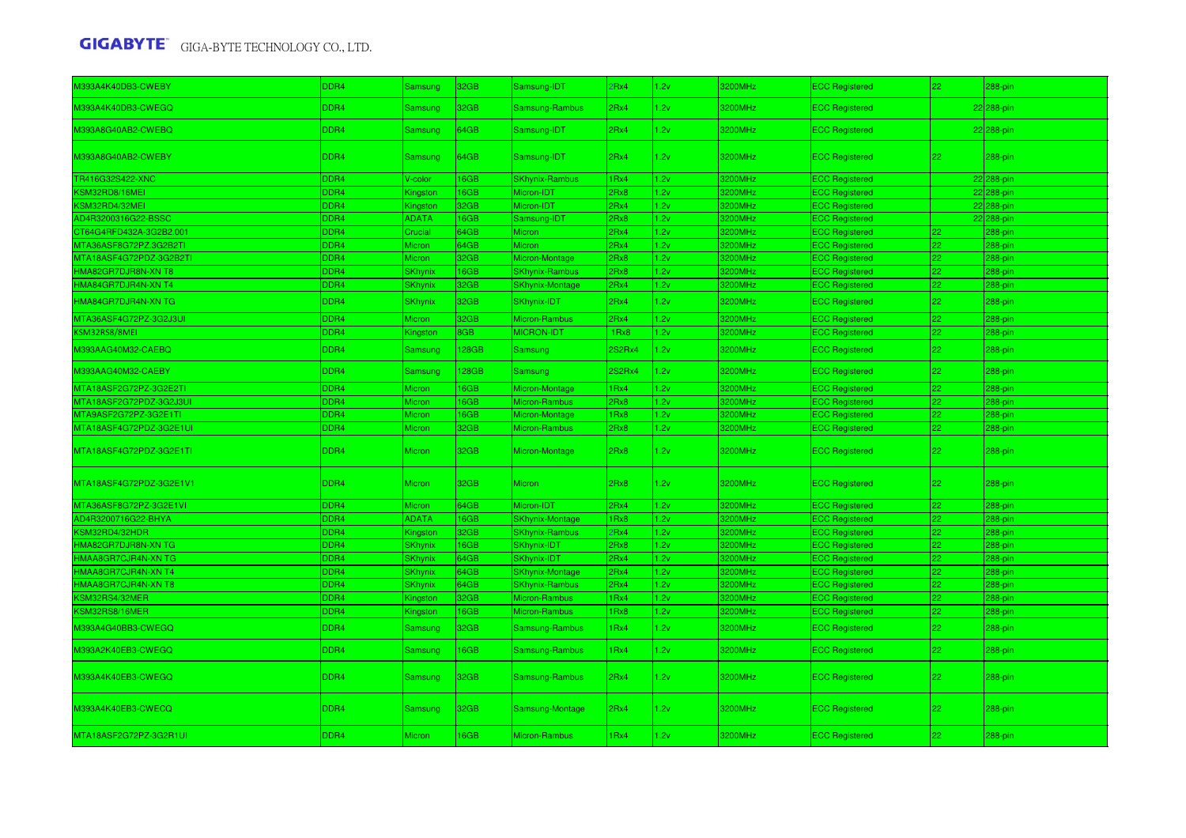| M393A4K40DB3-CWEBY      | DDR4             | <b>Samsung</b> | 32GB  | Samsung-IDT            | PRx4             | 1.2v | 3200MHz | <b>ECC Registered</b> | 22           | 288-pin    |
|-------------------------|------------------|----------------|-------|------------------------|------------------|------|---------|-----------------------|--------------|------------|
| M393A4K40DB3-CWEGQ      | DDR4             | Samsung        | 32GB  | Samsung-Rambus         | 2Rx4             | 1.2v | 3200MHz | <b>ECC Registered</b> |              | 22 288-pin |
| M393A8G40AB2-CWEBQ      | DDR4             | Samsung        | 64GB  | Samsung-IDT            | 2Rx4             | 1.2v | 3200MHz | <b>ECC Registered</b> |              | 22 288-pin |
| M393A8G40AB2-CWEBY      | DDR4             | Samsung        | 64GB  | Samsung-IDT            | 2Rx4             | 1.2v | 3200MHz | <b>ECC Registered</b> | 22           | 288-pin    |
| TR416G32S422-XNC        | DDR <sub>4</sub> | V-color        | 16GB  | <b>SKhynix-Rambus</b>  | 1Rx4             | 1.2v | 3200MHz | <b>ECC Registered</b> |              | 22 288-pin |
| KSM32RD8/16MEI          | DDR <sub>4</sub> | Kingston       | 16GB  | Micron-IDT             | 2Rx8             | 1.2v | 3200MHz | <b>ECC Registered</b> |              | 22 288-pin |
| KSM32RD4/32MEI          | DDR4             | Kingstor       | 32GB  | Micron-IDT             | 2Rx4             | 1.2v | 3200MHz | <b>ECC Registered</b> |              | 22 288-pin |
| AD4R3200316G22-BSSC     | DDR <sub>4</sub> | ADATA          | 16GB  | Samsung-IDT            | 2Rx8             | 1.2v | 3200MHz | <b>ECC Registered</b> |              | 22 288-pin |
| CT64G4RFD432A-3G2B2.001 | DDR <sub>4</sub> | Crucial        | 64GB  | Micron                 | 2Rx4             | 1.2v | 3200MHz | <b>ECC Registered</b> | 22           | 288-pin    |
| MTA36ASF8G72PZ.3G2B2TI  | DDR4             | Micron         | 64GB  | Micron                 | 2Rx4             | 1.2v | 3200MHz | <b>ECC Registered</b> | 22           | 288-pin    |
| MTA18ASF4G72PDZ-3G2B2TI | DDR <sub>4</sub> | Micron         | 32GB  | Micron-Montage         | 2Rx8             | 1.2v | 3200MHz | <b>ECC Registered</b> | 22           | 288-pin    |
| HMA82GR7DJR8N-XN T8     | DDR <sub>4</sub> | SKhynix        | 16GB  | <b>SKhynix-Rambus</b>  | 2Rx8             | 1.2v | 3200MHz | <b>ECC Registered</b> | $22^{\circ}$ | 288-pin    |
| HMA84GR7DJR4N-XN T4     | DDR <sub>4</sub> | SKhynix        | 32GB  | <b>SKhynix-Montage</b> | 2Rx4             | 1.2v | 3200MHz | <b>ECC Registered</b> | 22.          | 288-pin    |
| HMA84GR7DJR4N-XN TG     | DDR4             | <b>SKhynix</b> | 32GB  | SKhynix-IDT            | 2Rx4             | 1.2v | 3200MHz | <b>ECC Registered</b> | 22           | 288-pin    |
| MTA36ASF4G72PZ-3G2J3UI  | DDR4             | Micron         | 32GB  | Micron-Rambus          | 2Rx4             | 1.2v | 3200MHz | <b>ECC Registered</b> | 22           | $288$ -pin |
| KSM32RS8/8MEI           | DDR4             | Kingston       | 8GB   | MICRON-IDT             | 1Rx8             | 1.2v | 3200MHz | <b>ECC Registered</b> | 22           | 288-pin    |
| M393AAG40M32-CAEBQ      | DDR4             | Samsung        | 128GB | <b>Samsung</b>         | 2S2Rx4           | 1.2v | 3200MHz | <b>ECC Registered</b> | 22           | 288-pin    |
| M393AAG40M32-CAEBY      | DDR4             | Samsung        | 128GB | Samsung                | 2S2Rx4           | 1.2v | 3200MHz | <b>ECC Registered</b> | 22           | 288-pin    |
| MTA18ASF2G72PZ-3G2E2TI  | DDR <sub>4</sub> | Micron         | 16GB  | Micron-Montage         | 1Rx4             | 1.2v | 3200MHz | <b>ECC Registered</b> | 22           | 288-pin    |
| MTA18ASF2G72PDZ-3G2J3UI | DDR <sub>4</sub> | Micron         | 16GB  | Micron-Rambus          | 2Rx8             | 1.2v | 3200MHz | <b>ECC Registered</b> | 22           | 288-pin    |
| MTA9ASF2G72PZ-3G2E1TI   | DDR <sub>4</sub> | Micron         | 16GB  | Micron-Montage         | 1Rx8             | 1.2v | 3200MHz | <b>ECC Registered</b> | 22.          | 288-pin    |
| MTA18ASF4G72PDZ-3G2E1UI | DDR4             | Micron         | 32GB  | Micron-Rambus          | 2Rx8             | 1.2v | 3200MHz | <b>ECC Registered</b> | 22.          | 288-pin    |
| MTA18ASF4G72PDZ-3G2E1TI | DDR4             | Micron         | 32GB  | Micron-Montage         | 2Rx8             | 1.2v | 3200MHz | <b>ECC Registered</b> | 22           | 288-pin    |
| MTA18ASF4G72PDZ-3G2E1V1 | DDR4             | Micron         | 32GB  | Micron                 | 2Rx8             | 1.2v | 3200MHz | <b>ECC Registered</b> | 22           | 288-pin    |
| MTA36ASF8G72PZ-3G2E1VI  | DDR4             | Micron         | 64GB  | Micron-IDT             | 2Rx4             | 1.2v | 3200MHz | <b>ECC Registered</b> | 22           | 288-pin    |
| AD4R3200716G22-BHYA     | DDR <sub>4</sub> | ADATA          | 16GB  | <b>SKhynix-Montage</b> | 1 <sub>Rx8</sub> | 1.2v | 3200MHz | <b>ECC Registered</b> | 22           | 288-pin    |
| KSM32RD4/32HDR          | DDR <sub>4</sub> | ≺ingstor       | 32GB  | <b>SKhynix-Rambus</b>  | 2Rx4             | 1.2v | 3200MHz | <b>ECC Registered</b> | 22.          | 288-pin    |
| HMA82GR7DJR8N-XN TG     | DDR <sub>4</sub> | <b>SKhynix</b> | 16GB  | <b>SKhynix-IDT</b>     | 2Rx8             | 1.2v | 3200MHz | <b>ECC Registered</b> | 22.          | 288-pin    |
| HMAA8GR7CJR4N-XN TG     | DDR4             | <b>SKhynix</b> | 64GB  | SKhynix-IDT            | 2Rx4             | 1.2v | 3200MHz | <b>ECC Registered</b> | 22           | 288-pin    |
| HMAA8GR7CJR4N-XN T4     | DDR <sub>4</sub> | <b>SKhynix</b> | 64GB  | <b>SKhynix-Montage</b> | 2Rx4             | 1.2v | 3200MHz | <b>ECC Registered</b> | 22           | $288$ -pin |
| HMAA8GR7CJR4N-XN T8     | DDR <sub>4</sub> | <b>SKhynix</b> | 64GB  | <b>SKhynix-Rambus</b>  | 2Rx4             | 1.2v | 3200MHz | <b>ECC Registered</b> | 22           | 288-pin    |
| KSM32RS4/32MER          | DDR <sub>4</sub> | Kingston       | 32GB  | Micron-Rambus          | 1Rx4             | 1.2v | 3200MHz | <b>ECC Registered</b> | 22           | 288-pin    |
| KSM32RS8/16MER          | DDR <sub>4</sub> | Kingston       | 16GB  | Micron-Rambus          | 1Rx8             | 1.2v | 3200MHz | <b>ECC Registered</b> | 22           | 288-pin    |
| M393A4G40BB3-CWEGQ      | DDR4             | Samsung        | 32GB  | Samsung-Rambus         | 1Rx4             | 1.2v | 3200MHz | <b>ECC Registered</b> | 22           | 288-pin    |
| M393A2K40EB3-CWEGQ      | DDR4             | Samsung        | 16GB  | Samsung-Rambus         | 1Rx4             | 1.2v | 3200MHz | <b>ECC Registered</b> | 22           | 288-pin    |
| M393A4K40EB3-CWEGQ      | DDR4             | Samsung        | 32GB  | Samsung-Rambus         | 2Rx4             | 1.2v | 3200MHz | <b>ECC Registered</b> | 22           | 288-pin    |
| M393A4K40EB3-CWECQ      | DDR4             | Samsung        | 32GB  | Samsung-Montage        | 2Rx4             | 1.2v | 3200MHz | <b>ECC Registered</b> | 22           | 288-pin    |
| MTA18ASF2G72PZ-3G2R1UI  | DDR4             | Micron         | 16GB  | Micron-Rambus          | 1Rx4             | 1.2v | 3200MHz | <b>ECC Registered</b> | 22           | 288-pin    |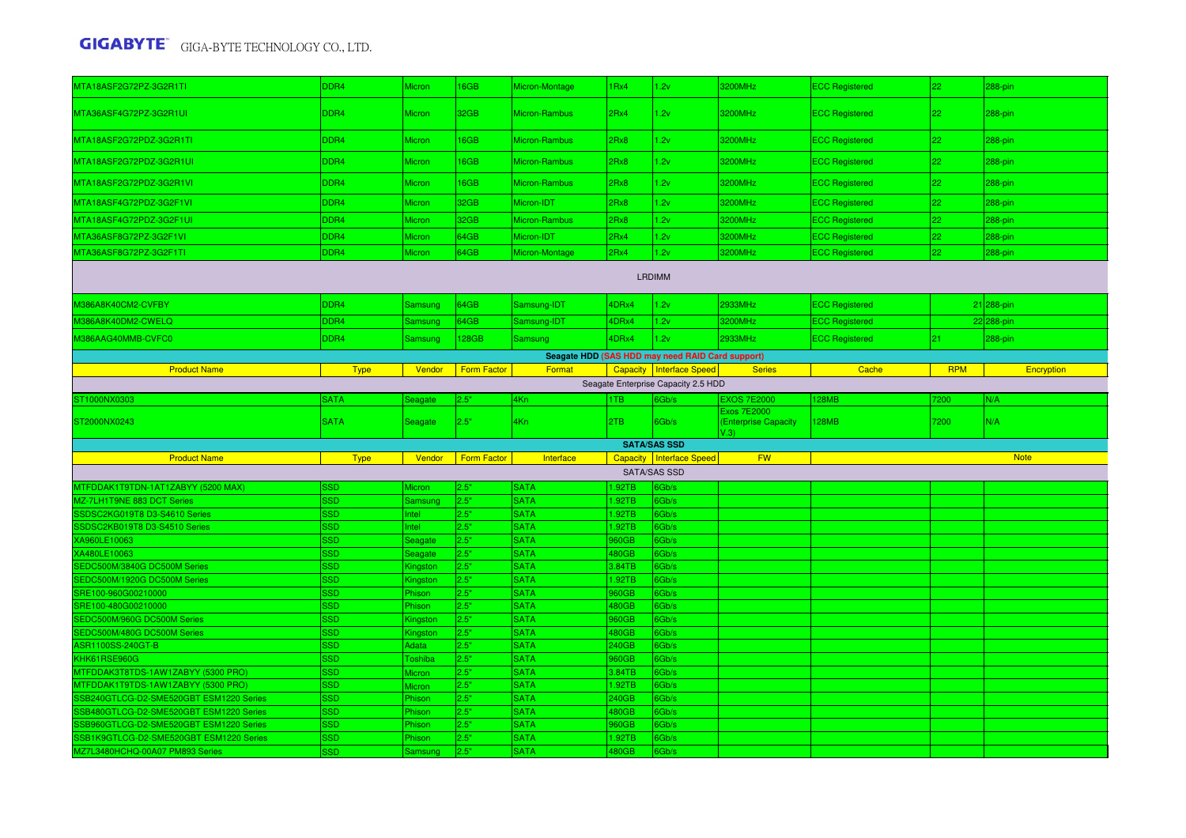| MTA18ASF2G72PZ-3G2R1TI                                                             | DDR4                     | Micron              | 16GB               | Micron-Montage             | 1Rx4            | 1.2v                                             | 3200MHz                      | <b>ECC Registered</b> | 22         | 288-pin     |
|------------------------------------------------------------------------------------|--------------------------|---------------------|--------------------|----------------------------|-----------------|--------------------------------------------------|------------------------------|-----------------------|------------|-------------|
| MTA36ASF4G72PZ-3G2R1UI                                                             | DDR4                     | <b>Micron</b>       | 32GB               | Micron-Rambus              | 2Rx4            | 1.2v                                             | 3200MHz                      | <b>ECC Registered</b> | 22         | 288-pin     |
| MTA18ASF2G72PDZ-3G2R1TI                                                            | DDR4                     | Micron              | 16GB               | Micron-Rambus              | 2Rx8            | 1.2v                                             | 3200MHz                      | <b>ECC Registered</b> | 22         | 288-pin     |
| MTA18ASF2G72PDZ-3G2R1UI                                                            | DDR4                     | Micron              | 16GB               | Micron-Rambus              | 2Rx8            | 1.2v                                             | 3200MHz                      | <b>ECC Registered</b> | 22         | 288-pin     |
| MTA18ASF2G72PDZ-3G2R1VI                                                            | DDR4                     | Micron              | 16GB               | Micron-Rambus              | 2Rx8            | 1.2v                                             | 3200MHz                      | <b>ECC Registered</b> | 22         | 288-pin     |
| MTA18ASF4G72PDZ-3G2F1VI                                                            | DDR4                     | Micron              | 32GB               | Micron-IDT                 | 2Rx8            | 1.2v                                             | 3200MHz                      | <b>ECC Registered</b> | 22         | 288-pin     |
| MTA18ASF4G72PDZ-3G2F1UI                                                            | DDR <sub>4</sub>         | Micron              | 32GB               | Micron-Rambus              | 2Rx8            | 1.2v                                             | 3200MHz                      | <b>ECC Registered</b> | 22         | 288-pin     |
| MTA36ASF8G72PZ-3G2F1VI                                                             | DDR <sub>4</sub>         | <b>Micron</b>       | 64GB               | Micron-IDT                 | 2Rx4            | 1.2v                                             | 3200MHz                      | <b>ECC Registered</b> | 22         | 288-pin     |
| MTA36ASF8G72PZ-3G2F1TI                                                             | DDR <sub>4</sub>         | Micron              | 64GB               | Micron-Montage             | 2Rx4            | 1.2v                                             | 3200MHz                      | <b>ECC Registered</b> | 22         | 288-pin     |
|                                                                                    |                          |                     |                    |                            |                 | <b>LRDIMM</b>                                    |                              |                       |            |             |
| M386A8K40CM2-CVFBY                                                                 | DDR4                     | Samsung             | 64GB               | Samsung-IDT                | 4DRx4           | 1.2v                                             | 2933MHz                      | <b>ECC Registered</b> |            | 21 288-pin  |
| 0386A8K40DM2-CWELQ                                                                 | DDR4                     | Samsung             | 64GB               | Samsung-IDT                | 4DRx4           | 1.2v                                             | 3200MHz                      | <b>ECC Registered</b> |            | 22 288-pin  |
| M386AAG40MMB-CVFC0                                                                 | DDR4                     | <b>Samsung</b>      | 128GB              | Samsung                    | 4DRx4           | 1.2v                                             | 2933MHz                      | <b>ECC Registered</b> | 21         | 288-pin     |
|                                                                                    |                          |                     |                    |                            |                 | Seagate HDD (SAS HDD may need RAID Card support) |                              |                       |            |             |
| <b>Product Name</b>                                                                | <b>Type</b>              | Vendor              | <b>Form Factor</b> | Format                     |                 | Capacity   Interface Speed                       | <b>Series</b>                | Cache                 | <b>RPM</b> | Encryption  |
|                                                                                    |                          |                     |                    |                            |                 | Seagate Enterprise Capacity 2.5 HDD              |                              |                       |            |             |
| ST1000NX0303                                                                       | <b>SATA</b>              | Seagate             | 2.5"               | 4Kn                        | <b>TB</b>       | 6Gb/s                                            | <b>EXOS 7E2000</b>           | <b>28MB</b>           | 7200       | N/A         |
|                                                                                    |                          |                     |                    |                            |                 |                                                  | <b>Exos 7E2000</b>           |                       |            |             |
| ST2000NX0243                                                                       | <b>SATA</b>              | Seagate             | 2.5"               | 4Kn                        | 2TB             | 6Gb/s                                            | (Enterprise Capacity<br>V 3) | <b>128MB</b>          | 7200       | N/A         |
|                                                                                    |                          |                     |                    |                            |                 | <b>SATA/SAS SSD</b>                              |                              |                       |            |             |
| <b>Product Name</b>                                                                | <b>Type</b>              | Vendor              | <b>Form Factor</b> | Interface                  |                 | Capacity   Interface Speed                       | <b>FW</b>                    |                       |            | <b>Note</b> |
|                                                                                    |                          |                     |                    |                            |                 | <b>SATA/SAS SSD</b>                              |                              |                       |            |             |
| MTFDDAK1T9TDN-1AT1ZABYY (5200 MAX)                                                 | SSD                      | Micron              | 2.5"               | <b>SATA</b>                | 1.92TB          | 6Gb/s                                            |                              |                       |            |             |
| MZ-7LH1T9NE 883 DCT Series                                                         | <b>SSD</b>               | Samsung             | 2.5"               | <b>SATA</b>                | 1.92TB          | 6Gb/s                                            |                              |                       |            |             |
| SSDSC2KG019T8 D3-S4610 Series                                                      | <b>SSD</b>               | ntel                | 2.5"               | <b>SATA</b>                | .92TB           | 6Gb/s                                            |                              |                       |            |             |
| SSDSC2KB019T8 D3-S4510 Series                                                      | SSD                      | ntel                | 2.5"               | <b>SATA</b>                | 1.92TB          | 6Gb/s                                            |                              |                       |            |             |
| XA960LE10063                                                                       | SSD                      | Seagate             | 2.5"               | <b>SATA</b>                | 960GB           | 6Gb/s                                            |                              |                       |            |             |
| XA480LE10063<br>SEDC500M/3840G DC500M Series                                       | <b>SSD</b><br><b>SSD</b> | Seagate<br>Kingston | 2.5"<br>2.5"       | <b>SATA</b><br><b>SATA</b> | 480GB<br>3.84TB | 6Gb/s<br>6Gb/s                                   |                              |                       |            |             |
| SEDC500M/1920G DC500M Series                                                       | <b>SSD</b>               | Kingston            | 2.5"               | <b>SATA</b>                | 1.92TB          | 6Gb/s                                            |                              |                       |            |             |
| SRE100-960G00210000                                                                | <b>SSD</b>               | Phison              | 2.5"               | <b>SATA</b>                | 960GB           | 6Gb/s                                            |                              |                       |            |             |
| SRE100-480G00210000                                                                | <b>SSD</b>               | Phison              | 2.5"               | <b>SATA</b>                | 480GB           | 6Gb/s                                            |                              |                       |            |             |
| SEDC500M/960G DC500M Series                                                        | SSD                      | Kingstor            | 2.5"               | <b>SATA</b>                | 960GB           | 6Gb/s                                            |                              |                       |            |             |
| SEDC500M/480G DC500M Series                                                        | SSD                      | Kingstor            | 2.5"               | <b>SATA</b>                | 480GB           | 6Gb/s                                            |                              |                       |            |             |
| <b>ASR1100SS-240GT-B</b>                                                           | <b>SSD</b>               | Adata               | 2.5"               | <b>SATA</b>                | 240GB           | 6Gb/s                                            |                              |                       |            |             |
| KHK61RSE960G                                                                       | SSD                      | Toshiba             | 2.5"               | <b>SATA</b>                | 960GB           | 6Gb/s                                            |                              |                       |            |             |
| MTFDDAK3T8TDS-1AW1ZABYY (5300 PRO)                                                 | <b>SSD</b>               | Micron              | 2.5"               | <b>SATA</b>                | 3.84TB          | 6Gb/s                                            |                              |                       |            |             |
| MTFDDAK1T9TDS-1AW1ZABYY (5300 PRO)                                                 | <b>SSD</b>               | Micron              | 2.5"               | <b>SATA</b>                | 1.92TB          | 6Gb/s                                            |                              |                       |            |             |
| SSB240GTLCG-D2-SME520GBT ESM1220 Series                                            | SSD                      | Phison              | 2.5"               | <b>SATA</b>                | 240GB           | 6Gb/s                                            |                              |                       |            |             |
| SSB480GTLCG-D2-SME520GBT ESM1220 Series                                            | SSD<br>SSD               | Phison<br>Phison    | 2.5"<br>2.5"       | <b>SATA</b><br><b>SATA</b> | 480GB<br>960GB  | 6Gb/s<br>6Gb/s                                   |                              |                       |            |             |
| SSB960GTLCG-D2-SME520GBT ESM1220 Series<br>SSB1K9GTLCG-D2-SME520GBT ESM1220 Series | <b>SSD</b>               | Phison              | 2.5"               | <b>SATA</b>                | 1.92TB          | 6Gb/s                                            |                              |                       |            |             |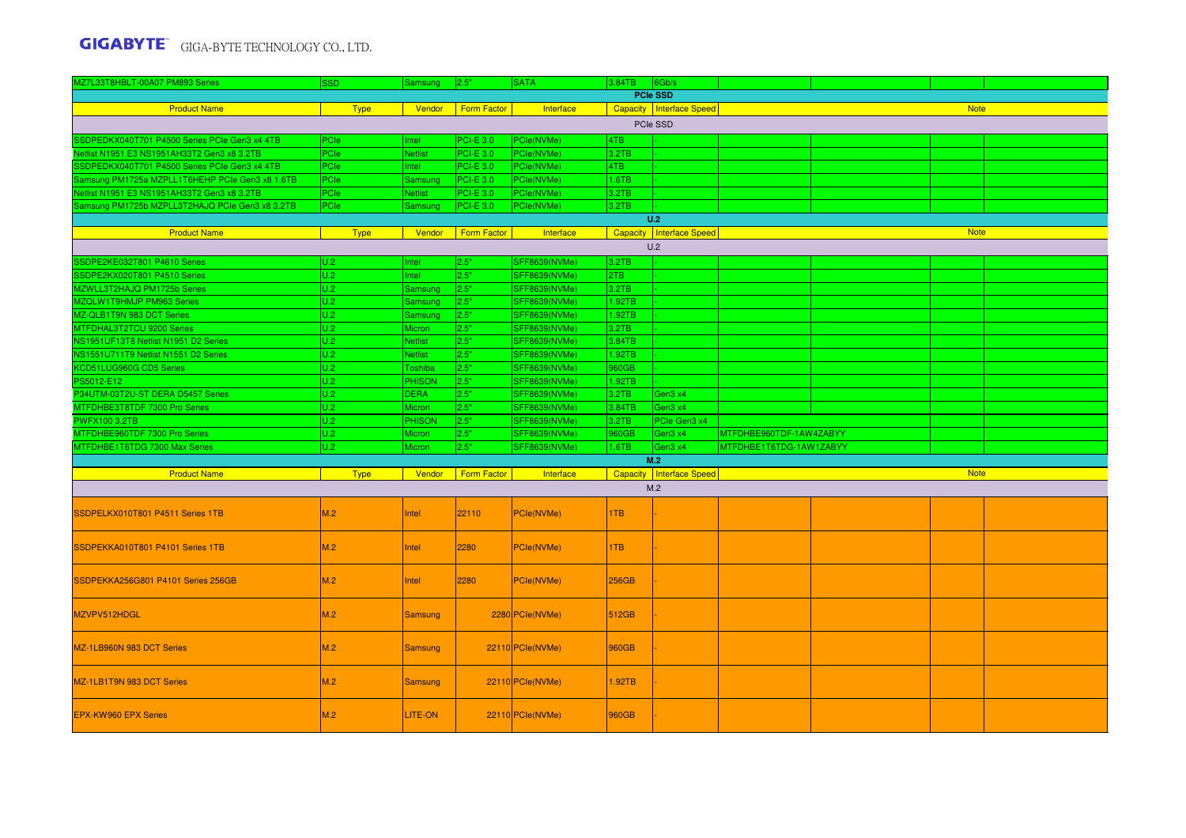| MZ7L33T8HBLT-00A07 PM893 Series                 | <b>SSD</b>  | Samsung        | 2.5"               | <b>SATA</b>          | 3.84TB 6Gb/s |                            |                         |             |  |
|-------------------------------------------------|-------------|----------------|--------------------|----------------------|--------------|----------------------------|-------------------------|-------------|--|
|                                                 |             |                |                    |                      |              | PCIe SSD                   |                         |             |  |
| <b>Product Name</b>                             | <b>Type</b> | Vendor         | <b>Form Factor</b> | Interface            |              | Capacity Interface Speed   |                         | <b>Note</b> |  |
|                                                 |             |                |                    |                      |              | PCIe SSD                   |                         |             |  |
| SSDPEDKX040T701 P4500 Series PCIe Gen3 x4 4TB   | PCle        | Intel          | <b>PCI-E 3.0</b>   | PCle(NVMe)           | 4TB          |                            |                         |             |  |
| Netlist N1951 E3 NS1951AH33T2 Gen3 x8 3.2TB     | PCle        | <b>Netlist</b> | <b>PCI-E 3.0</b>   | PCle(NVMe)           | 3.2TB        |                            |                         |             |  |
| SSDPEDKX040T701 P4500 Series PCle Gen3 x4 4TB   | <b>PCle</b> | Intel          | <b>PCI-E 3.0</b>   | PCle(NVMe)           | 4TB          |                            |                         |             |  |
| Samsung PM1725a MZPLL1T6HEHP PCIe Gen3 x8 1.6TB | PCIe        | Samsung        | PCI-E 3.0          | PCle(NVMe)           | 1.6TB        |                            |                         |             |  |
| Netlist N1951 E3 NS1951AH33T2 Gen3 x8 3.2TB     | PCle        | <b>Netlist</b> | PCI-E 3.0          | PCle(NVMe)           | 3.2TB        |                            |                         |             |  |
| Samsung PM1725b MZPLL3T2HAJQ PCIe Gen3 x8 3.2TB | PCle        | Samsung        | <b>PCI-E 3.0</b>   | PCle(NVMe)           | 3.2TB        |                            |                         |             |  |
|                                                 |             |                |                    |                      |              | U.2                        |                         |             |  |
| <b>Product Name</b>                             | <b>Type</b> | Vendor         | <b>Form Factor</b> | Interface            |              | Capacity   Interface Speed |                         | <b>Note</b> |  |
|                                                 |             |                |                    |                      |              | U.2                        |                         |             |  |
| SSDPE2KE032T801 P4610 Series                    | U.2         | Intel          | 2.5"               | <b>SFF8639(NVMe)</b> | 3.2TB        |                            |                         |             |  |
| SSDPE2KX020T801 P4510 Series                    | U.2         | ntel           | 2.5"               | <b>SFF8639(NVMe)</b> | 2TB          |                            |                         |             |  |
| MZWLL3T2HAJQ PM1725b Series                     | U.2         | Samsung        | 2.5"               | <b>SFF8639(NVMe)</b> | 3.2TB        |                            |                         |             |  |
| MZQLW1T9HMJP PM963 Series                       | U.2         | Samsung        | 2.5"               | <b>SFF8639(NVMe)</b> | 1.92TB       |                            |                         |             |  |
| MZ-QLB1T9N 983 DCT Series                       | U.2         | Samsung        | 2.5"               | <b>SFF8639(NVMe)</b> | 1.92TB       |                            |                         |             |  |
| MTFDHAL3T2TCU 9200 Series                       | U.2         | Micron         | 2.5"               | <b>SFF8639(NVMe)</b> | 3.2TB        |                            |                         |             |  |
| NS1951UF13T8 Netlist N1951 D2 Series            | U.2         | Netlist        | 2.5"               | <b>SFF8639(NVMe)</b> | 3.84TB       |                            |                         |             |  |
| NS1551U711T9 Netlist N1551 D2 Series            | U.2         | <b>Netlist</b> | 2.5"               | <b>SFF8639(NVMe)</b> | 1.92TB       |                            |                         |             |  |
| KCD51LUG960G CD5 Series                         | U.2         | Toshiba        | 2.5"               | <b>SFF8639(NVMe)</b> | 960GB        |                            |                         |             |  |
| PS5012-E12                                      | U.2         | <b>PHISON</b>  | 2.5"               | <b>SFF8639(NVMe)</b> | 1.92TB       |                            |                         |             |  |
| P34UTM-03T2U-ST DERA D5457 Series               | U.2         | <b>DERA</b>    | 2.5"               | <b>SFF8639(NVMe)</b> | 3.2TB        | Gen3 x4                    |                         |             |  |
| MTFDHBE3T8TDF 7300 Pro Series                   | U.2         | Micron         | 2.5"               | <b>SFF8639(NVMe)</b> | 3.84TB       | Gen3 x4                    |                         |             |  |
| <b>PWFX100 3.2TB</b>                            | U.2         | <b>PHISON</b>  | 2.5"               | SFF8639(NVMe)        | 3.2TB        | PCIe Gen3 x4               |                         |             |  |
| MTFDHBE960TDF 7300 Pro Series                   | U.2<br>U.2  | Micron         | 2.5"<br>2.5"       | SFF8639(NVMe)        | 960GB        | Gen3 x4                    | MTFDHBE960TDF-1AW4ZABYY |             |  |
| MTFDHBE1T6TDG 7300 Max Series                   |             | Micron         |                    | <b>SFF8639(NVMe)</b> | 1.6TB        | Gen3 x4<br>M.2             | MTFDHBE1T6TDG-1AW1ZABYY |             |  |
| <b>Product Name</b>                             | <b>Type</b> | Vendor         | Form Factor        | Interface            |              | Capacity   Interface Speed |                         | <b>Note</b> |  |
|                                                 |             |                |                    |                      |              | M.2                        |                         |             |  |
|                                                 |             |                |                    |                      |              |                            |                         |             |  |
| SSDPELKX010T801 P4511 Series 1TB                | M.2         | <b>Intel</b>   | 22110              | PCle(NVMe)           | 1TB          |                            |                         |             |  |
| SSDPEKKA010T801 P4101 Series 1TB                | M.2         | Intel          | 2280               | PCle(NVMe)           | 1TB          |                            |                         |             |  |
| SSDPEKKA256G801 P4101 Series 256GB              | M.2         | <b>Intel</b>   | 2280               | PCle(NVMe)           | <b>256GB</b> |                            |                         |             |  |
| MZVPV512HDGL                                    | M.2         | <b>Samsung</b> |                    | 2280 PCle(NVMe)      | 512GB        |                            |                         |             |  |
| MZ-1LB960N 983 DCT Series                       | M.2         | <b>Samsung</b> |                    | 22110 PCle(NVMe)     | 960GB        |                            |                         |             |  |
| MZ-1LB1T9N 983 DCT Series                       | M.2         | <b>Samsung</b> |                    | 22110 PCle(NVMe)     | 1.92TB       |                            |                         |             |  |
| <b>EPX-KW960 EPX Series</b>                     | M.2         | LITE-ON        |                    | 22110 PCle(NVMe)     | 960GB        |                            |                         |             |  |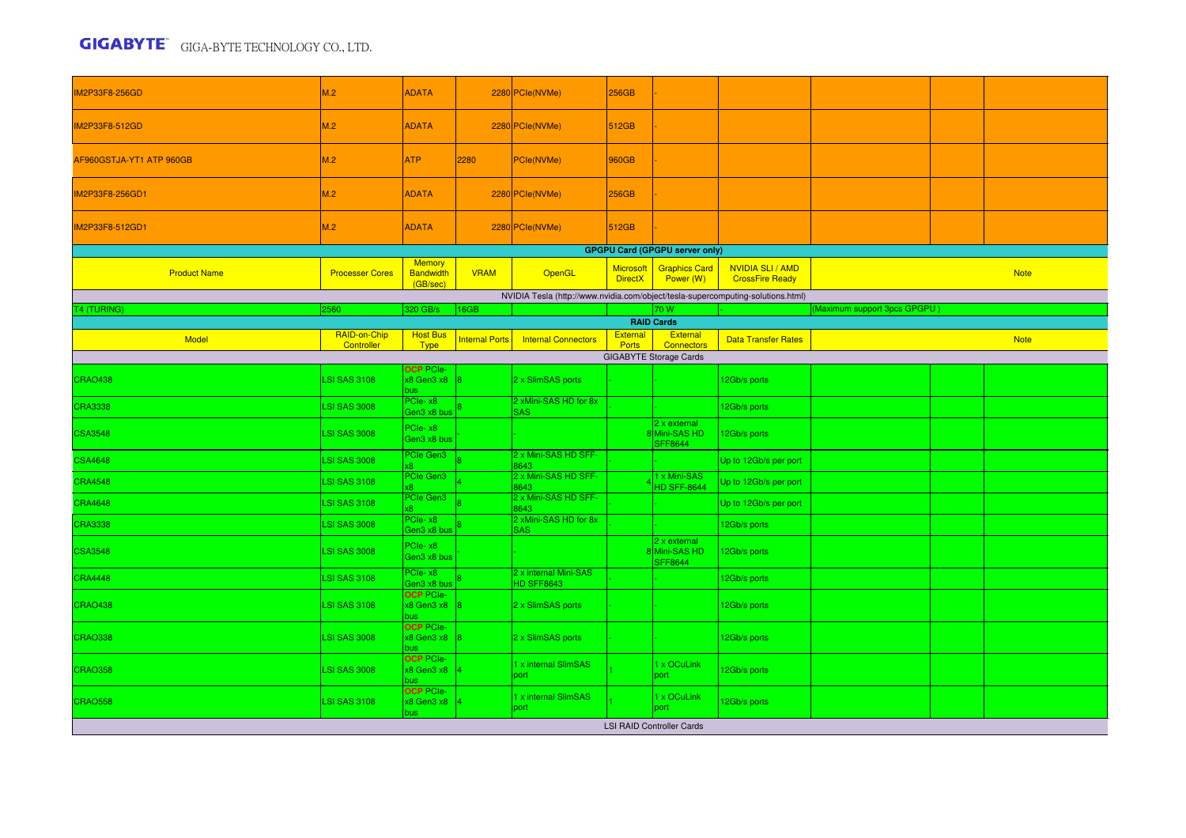| IM2P33F8-256GD           | M.2                        | <b>ADATA</b>                                  |                       | 2280 PCle(NVMe)                                                                 | 256GB                              |                                                 |                                                   |                              |             |
|--------------------------|----------------------------|-----------------------------------------------|-----------------------|---------------------------------------------------------------------------------|------------------------------------|-------------------------------------------------|---------------------------------------------------|------------------------------|-------------|
| <b>IM2P33F8-512GD</b>    | M.2                        | <b>ADATA</b>                                  |                       | 2280 PCle(NVMe)                                                                 | 512GB                              |                                                 |                                                   |                              |             |
| AF960GSTJA-YT1 ATP 960GB | M.2                        | ATP                                           | 2280                  | PCle(NVMe)                                                                      | 960GB                              |                                                 |                                                   |                              |             |
| IM2P33F8-256GD1          | M.2                        | <b>ADATA</b>                                  |                       | 2280 PCle(NVMe)                                                                 | 256GB                              |                                                 |                                                   |                              |             |
| IM2P33F8-512GD1          | M.2                        | <b>ADATA</b>                                  |                       | 2280 PCle(NVMe)                                                                 | 512GB                              |                                                 |                                                   |                              |             |
|                          |                            |                                               |                       |                                                                                 |                                    | <b>GPGPU Card (GPGPU server only)</b>           |                                                   |                              |             |
| <b>Product Name</b>      | <b>Processer Cores</b>     | <b>Memory</b><br><b>Bandwidth</b><br>(GB/sec) | <b>VRAM</b>           | OpenGL                                                                          | <b>Microsoft</b><br><b>DirectX</b> | <b>Graphics Card</b><br>Power (W)               | <b>NVIDIA SLI / AMD</b><br><b>CrossFire Ready</b> |                              | <b>Note</b> |
|                          |                            |                                               |                       | NVIDIA Tesla (http://www.nvidia.com/object/tesla-supercomputing-solutions.html) |                                    |                                                 |                                                   |                              |             |
| <b>T4 (TURING)</b>       | 2560                       | 320 GB/s                                      | 16GB                  |                                                                                 |                                    | 70 W                                            |                                                   | (Maximum support 3pcs GPGPU) |             |
|                          |                            |                                               |                       |                                                                                 |                                    | <b>RAID Cards</b>                               |                                                   |                              |             |
| <b>Model</b>             | RAID-on-Chip<br>Controller | <b>Host Bus</b><br><b>Type</b>                | <b>Internal Ports</b> | <b>Internal Connectors</b>                                                      | External<br><b>Ports</b>           | External<br><b>Connectors</b>                   | <b>Data Transfer Rates</b>                        |                              | <b>Note</b> |
|                          |                            |                                               |                       |                                                                                 |                                    | <b>GIGABYTE Storage Cards</b>                   |                                                   |                              |             |
| CRAO438                  | <b>LSI SAS 3108</b>        | <b>OCP PCIe-</b><br>x8 Gen3 x8<br>bus         |                       | 2 x SlimSAS ports                                                               |                                    |                                                 | 12Gb/s ports                                      |                              |             |
| <b>CRA3338</b>           | <b>LSI SAS 3008</b>        | PCIe-x8<br>Gen3 x8 bus                        |                       | 2 xMini-SAS HD for 8x<br><b>SAS</b>                                             |                                    |                                                 | 12Gb/s ports                                      |                              |             |
| <b>CSA3548</b>           | <b>LSI SAS 3008</b>        | PCle-x8<br>Gen3 x8 bus                        |                       |                                                                                 |                                    | 2 x external<br>8 Mini-SAS HD<br><b>SFF8644</b> | 12Gb/s ports                                      |                              |             |
| <b>CSA4648</b>           | <b>LSI SAS 3008</b>        | PCIe Gen3                                     |                       | 2 x Mini-SAS HD SFF-<br>8643<br>2 x Mini-SAS HD SFF-                            |                                    | 1 x Mini-SAS                                    | Up to 12Gb/s per port                             |                              |             |
| <b>CRA4548</b>           | <b>LSI SAS 3108</b>        | PCIe Gen3                                     |                       | 8643                                                                            |                                    | <b>HD SFF-8644</b>                              | Up to 12Gb/s per port                             |                              |             |
| <b>CRA4648</b>           | <b>LSI SAS 3108</b>        | PCIe Gen3                                     |                       | 2 x Mini-SAS HD SFF-<br>8643                                                    |                                    |                                                 | Up to 12Gb/s per port                             |                              |             |
| <b>CRA3338</b>           | <b>LSI SAS 3008</b>        | PCIe-x8<br>Gen3 x8 bus                        |                       | 2 xMini-SAS HD for 8x<br><b>SAS</b>                                             |                                    |                                                 | 2Gb/s ports                                       |                              |             |
| <b>CSA3548</b>           | <b>LSI SAS 3008</b>        | PCIe-x8<br>Gen3 x8 bus                        |                       |                                                                                 |                                    | 2 x external<br>8 Mini-SAS HD<br><b>SFF8644</b> | 12Gb/s ports                                      |                              |             |
| CRA4448                  | <b>LSI SAS 3108</b>        | PCIe-x8<br>Gen3 x8 bus                        |                       | 2 x internal Mini-SAS<br><b>HD SFF8643</b>                                      |                                    |                                                 | 2Gb/s ports                                       |                              |             |
| CRAO438                  | <b>LSI SAS 3108</b>        | <b>OCP PCIe-</b><br>x8 Gen3 x8<br>bus         |                       | 2 x SlimSAS ports                                                               |                                    |                                                 | 12Gb/s ports                                      |                              |             |
| <b>CRAO338</b>           | <b>LSI SAS 3008</b>        | <b>OCP PCIe-</b><br>x8 Gen3 x8                |                       | 2 x SlimSAS ports                                                               |                                    |                                                 | 12Gb/s ports                                      |                              |             |
| <b>CRAO358</b>           | <b>LSI SAS 3008</b>        | <b>OCP PCIe-</b><br>x8 Gen3 x8<br>bus.        |                       | 1 x internal SlimSAS<br>port                                                    |                                    | 1 x OCuLink<br>port                             | 2Gb/s ports                                       |                              |             |
| <b>CRAO558</b>           | <b>LSI SAS 3108</b>        | <b>OCP PCIe-</b><br>x8 Gen3 x8<br>bus         |                       | 1 x internal SlimSAS<br>port                                                    |                                    | 1 x OCuLink<br>port                             | 12Gb/s ports                                      |                              |             |
|                          |                            |                                               |                       |                                                                                 |                                    | <b>LSI RAID Controller Cards</b>                |                                                   |                              |             |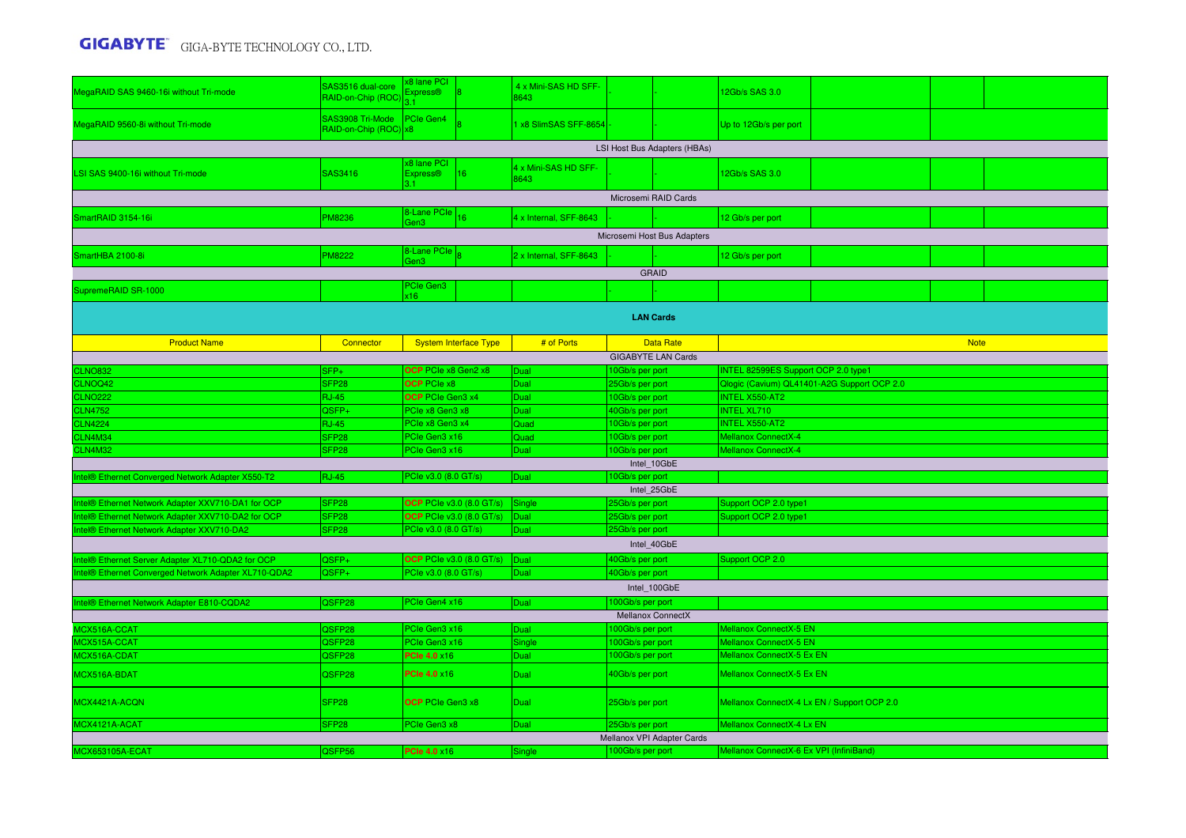| MegaRAID SAS 9460-16i without Tri-mode               | SAS3516 dual-core<br>RAID-on-Chip (ROC)               | x8 lane PCI<br><b>Express®</b>             | 4 x Mini-SAS HD SFF-<br>8643 |                              | 12Gb/s SAS 3.0                              |  |  |  |
|------------------------------------------------------|-------------------------------------------------------|--------------------------------------------|------------------------------|------------------------------|---------------------------------------------|--|--|--|
| MegaRAID 9560-8i without Tri-mode                    | SAS3908 Tri-Mode   PCIe Gen4<br>RAID-on-Chip (ROC) x8 |                                            | 1 x8 SlimSAS SFF-8654        |                              | Up to 12Gb/s per port                       |  |  |  |
|                                                      |                                                       |                                            |                              | LSI Host Bus Adapters (HBAs) |                                             |  |  |  |
| LSI SAS 9400-16i without Tri-mode                    | SAS3416                                               | x8 lane PCI<br><b>Express®</b><br>16<br>31 | 4 x Mini-SAS HD SFF-<br>8643 |                              | 12Gb/s SAS 3.0                              |  |  |  |
|                                                      |                                                       |                                            |                              | Microsemi RAID Cards         |                                             |  |  |  |
| SmartRAID 3154-16i                                   | PM8236                                                | 8-Lane PCle<br>16                          | 4 x Internal, SFF-8643       |                              | 12 Gb/s per port                            |  |  |  |
|                                                      |                                                       | Gen3                                       |                              | Microsemi Host Bus Adapters  |                                             |  |  |  |
|                                                      |                                                       | 8-Lane PCle                                |                              |                              |                                             |  |  |  |
| SmartHBA 2100-8i                                     | <b>PM8222</b>                                         | Gen3                                       | 2 x Internal, SFF-8643       |                              | 12 Gb/s per port                            |  |  |  |
|                                                      |                                                       |                                            |                              | <b>GRAID</b>                 |                                             |  |  |  |
| SupremeRAID SR-1000                                  |                                                       | PCIe Gen3<br>(16)                          |                              |                              |                                             |  |  |  |
|                                                      |                                                       |                                            |                              | <b>LAN Cards</b>             |                                             |  |  |  |
| <b>Product Name</b>                                  | Connector                                             | <b>System Interface Type</b>               | # of Ports                   | <b>Data Rate</b>             | <b>Note</b>                                 |  |  |  |
|                                                      |                                                       |                                            |                              | <b>GIGABYTE LAN Cards</b>    |                                             |  |  |  |
| <b>CLNO832</b>                                       | SFP+                                                  | OCP PCIe x8 Gen2 x8                        | <b>Dual</b>                  | 10Gb/s per port              | INTEL 82599ES Support OCP 2.0 type1         |  |  |  |
| CLNOQ42                                              | SFP <sub>28</sub>                                     | <b>OCP</b> PCIe x8                         | Dual                         | 25Gb/s per port              | Qlogic (Cavium) QL41401-A2G Support OCP 2.0 |  |  |  |
| <b>CLNO222</b>                                       | <b>RJ-45</b>                                          | OCP PCIe Gen3 x4                           | Dual                         | 10Gb/s per port              | <b>INTEL X550-AT2</b>                       |  |  |  |
| <b>CLN4752</b>                                       | QSFP+                                                 | PCIe x8 Gen3 x8                            | Dual                         | 40Gb/s per port              | <b>INTEL XL710</b>                          |  |  |  |
| <b>CLN4224</b>                                       | <b>RJ-45</b>                                          | PCle x8 Gen3 x4                            | Quad                         | 10Gb/s per port              | <b>INTEL X550-AT2</b>                       |  |  |  |
| CLN4M34                                              | SFP <sub>28</sub>                                     | PCle Gen3 x16                              | Quad                         | 10Gb/s per port              | Mellanox ConnectX-4                         |  |  |  |
| <b>CLN4M32</b>                                       | SFP <sub>28</sub>                                     | PCIe Gen3 x16                              | Dual                         | 10Gb/s per port              | Mellanox ConnectX-4                         |  |  |  |
|                                                      |                                                       |                                            |                              | Intel 10GbE                  |                                             |  |  |  |
| Intel® Ethernet Converged Network Adapter X550-T2    | RJ-45                                                 | PCIe v3.0 (8.0 GT/s)                       | Dual                         | 10Gb/s per port              |                                             |  |  |  |
|                                                      |                                                       |                                            |                              | Intel_25GbE                  |                                             |  |  |  |
| ntel® Ethernet Network Adapter XXV710-DA1 for OCP    | SFP <sub>28</sub>                                     | <b>OCP</b> PCIe v3.0 (8.0 GT/s)            | Single                       | 25Gb/s per port              | Support OCP 2.0 type1                       |  |  |  |
| ntel® Ethernet Network Adapter XXV710-DA2 for OCP    | SFP <sub>28</sub>                                     | <b>OCP PCIe v3.0 (8.0 GT/s)</b>            | Dual                         | 25Gb/s per port              | Support OCP 2.0 type1                       |  |  |  |
| Intel® Ethernet Network Adapter XXV710-DA2           | SFP <sub>28</sub>                                     | PCIe v3.0 (8.0 GT/s)                       | Dual                         | 25Gb/s per port              |                                             |  |  |  |
|                                                      |                                                       |                                            |                              | Intel_40GbE                  |                                             |  |  |  |
| Intel® Ethernet Server Adapter XL710-QDA2 for OCP    | QSFP+                                                 | <b>OCP PCIe v3.0 (8.0 GT/s)</b>            | Dual                         | 40Gb/s per port              | Support OCP 2.0                             |  |  |  |
| Intel® Ethernet Converged Network Adapter XL710-QDA2 | QSFP+                                                 | PCle v3.0 (8.0 GT/s)                       | Dual                         | 40Gb/s per port              |                                             |  |  |  |
|                                                      |                                                       |                                            |                              | Intel 100GbE                 |                                             |  |  |  |
| Intel® Ethernet Network Adapter E810-CQDA2           | QSFP28                                                | PCIe Gen4 x16                              | Dual                         | 100Gb/s per port             |                                             |  |  |  |
|                                                      |                                                       |                                            |                              | Mellanox ConnectX            |                                             |  |  |  |
| MCX516A-CCAT                                         | QSFP28                                                | PCIe Gen3 x16                              | Dual                         | 100Gb/s per port             | Mellanox ConnectX-5 EN                      |  |  |  |
| MCX515A-CCAT                                         | QSFP28                                                | PCle Gen3 x16                              | Single                       | 100Gb/s per port             | Mellanox ConnectX-5 EN                      |  |  |  |
| MCX516A-CDAT                                         | QSFP28                                                | <b>PCle 4.0 x16</b>                        | Dual                         | 100Gb/s per port             | Mellanox ConnectX-5 Ex EN                   |  |  |  |
| MCX516A-BDAT                                         | QSFP28                                                | <b>PCle 4.0 x16</b>                        | Dual                         | 40Gb/s per port              | Mellanox ConnectX-5 Ex EN                   |  |  |  |
| MCX4421A-ACQN                                        | SFP <sub>28</sub>                                     | OCP PCIe Gen3 x8                           | Dual                         | 25Gb/s per port              | Mellanox ConnectX-4 Lx EN / Support OCP 2.0 |  |  |  |
| MCX4121A-ACAT                                        | SFP <sub>28</sub>                                     | PCIe Gen3 x8                               | Dual                         | 25Gb/s per port              | Mellanox ConnectX-4 Lx EN                   |  |  |  |
|                                                      |                                                       |                                            |                              | Mellanox VPI Adapter Cards   |                                             |  |  |  |
| MCX653105A-ECAT                                      | QSFP56                                                | <b>PCle 4.0 ×16</b>                        | Single                       | 100Gb/s per port             | Mellanox ConnectX-6 Ex VPI (InfiniBand)     |  |  |  |